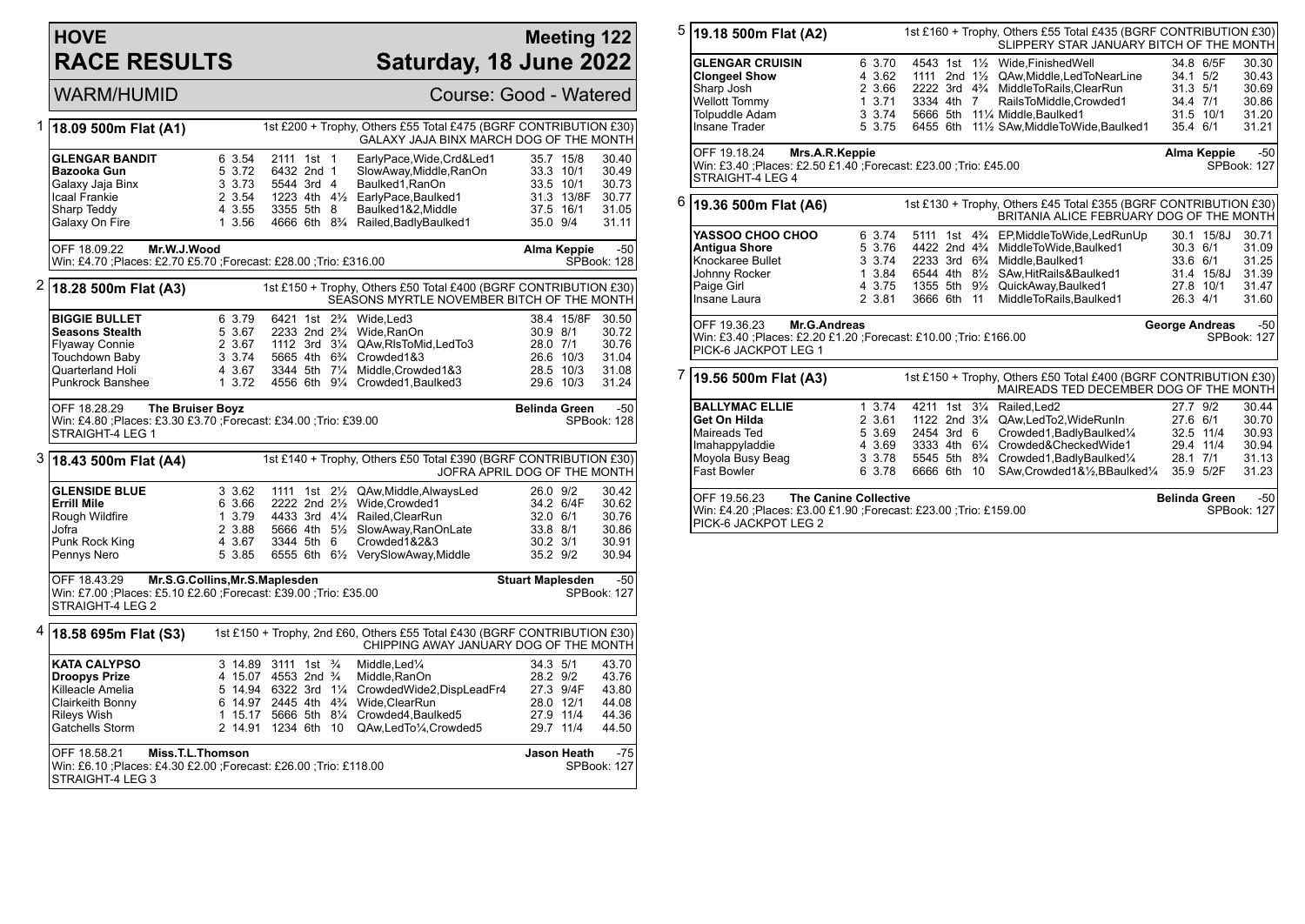## **HOVE RACE RESULTS**

## **Meeting 122 Saturday, 18 June 2022**

| <b>WARM/HUMID</b> |
|-------------------|
|-------------------|

Course: Good - Watered

| 1 | 18.09 500m Flat (A1)                                                                                                              |                                                          |                                                                                                                                                               | 1st £200 + Trophy, Others £55 Total £475 (BGRF CONTRIBUTION £30)<br>GALAXY JAJA BINX MARCH DOG OF THE MONTH                                                                                                                           |                                                              |                                                                                                                      |
|---|-----------------------------------------------------------------------------------------------------------------------------------|----------------------------------------------------------|---------------------------------------------------------------------------------------------------------------------------------------------------------------|---------------------------------------------------------------------------------------------------------------------------------------------------------------------------------------------------------------------------------------|--------------------------------------------------------------|----------------------------------------------------------------------------------------------------------------------|
|   | <b>GLENGAR BANDIT</b><br>Bazooka Gun<br>Galaxy Jaja Binx<br>Icaal Frankie<br>Sharp Teddy<br>Galaxy On Fire                        | 6 3.54<br>5 3.72<br>3 3.73<br>2 3.54<br>4 3.55<br>1 3.56 | 2111 1st 1<br>6432 2nd 1<br>5544 3rd 4<br>3355 5th 8                                                                                                          | EarlyPace, Wide, Crd&Led1<br>SlowAway,Middle,RanOn<br>Baulked1, RanOn<br>1223 4th 41/ <sub>2</sub> EarlyPace.Baulked1<br>Baulked1&2, Middle<br>4666 6th 8 <sup>3</sup> / <sub>4</sub> Railed, Badly Baulked 1                         | 35.0 9/4                                                     | 30.40<br>35.7 15/8<br>30.49<br>33.3 10/1<br>33.5 10/1<br>30.73<br>31.3 13/8F<br>30.77<br>37.5 16/1<br>31.05<br>31.11 |
|   | Mr.W.J.Wood<br>OFF 18.09.22<br>Win: £4.70 ;Places: £2.70 £5.70 ;Forecast: £28.00 ;Trio: £316.00                                   |                                                          |                                                                                                                                                               |                                                                                                                                                                                                                                       |                                                              | <b>Alma Keppie</b><br>$-50$<br>SPBook: 128                                                                           |
| 2 | 18.28 500m Flat (A3)                                                                                                              |                                                          |                                                                                                                                                               | 1st £150 + Trophy, Others £50 Total £400 (BGRF CONTRIBUTION £30)<br>SEASONS MYRTLE NOVEMBER BITCH OF THE MONTH                                                                                                                        |                                                              |                                                                                                                      |
|   | <b>BIGGIE BULLET</b><br><b>Seasons Stealth</b><br><b>Flyaway Connie</b><br>Touchdown Baby<br>Quarterland Holi<br>Punkrock Banshee | 6 3.79<br>5 3.67<br>2 3.67<br>3 3.74<br>4 3.67<br>13.72  | 6421 1st 2 <sup>3</sup> / <sub>4</sub> Wide, Led 3<br>2233 2nd 2 <sup>3</sup> / <sub>4</sub> Wide, RanOn<br>5665 4th 6 <sup>3</sup> / <sub>4</sub> Crowded1&3 | 1112 3rd 31/4 QAw.RIsToMid.LedTo3<br>3344 5th 71/4 Middle, Crowded 1&3<br>4556 6th 91/4 Crowded1, Baulked3                                                                                                                            | 30.9 8/1<br>28.0 7/1                                         | 38.4 15/8F<br>30.50<br>30.72<br>30.76<br>31.04<br>26.6 10/3<br>28.5 10/3<br>31.08<br>29.6 10/3<br>31.24              |
|   | OFF 18.28.29<br><b>The Bruiser Boyz</b><br>Win: £4.80 ;Places: £3.30 £3.70 ;Forecast: £34.00 ;Trio: £39.00<br>STRAIGHT-4 LEG 1    |                                                          |                                                                                                                                                               |                                                                                                                                                                                                                                       | <b>Belinda Green</b>                                         | -50<br>SPBook: 128                                                                                                   |
| 3 | 18.43 500m Flat (A4)                                                                                                              |                                                          |                                                                                                                                                               | 1st £140 + Trophy, Others £50 Total £390 (BGRF CONTRIBUTION £30)                                                                                                                                                                      |                                                              | JOFRA APRIL DOG OF THE MONTH                                                                                         |
|   | <b>GLENSIDE BLUE</b><br><b>Errill Mile</b><br>Rough Wildfire<br>Jofra<br>Punk Rock King<br>Pennys Nero                            | 3 3.62<br>6 3.66<br>1 3.79<br>2 3.88<br>4 3.67<br>5 3.85 | 3344 5th 6                                                                                                                                                    | 1111 1st 21/ <sub>2</sub> QAw, Middle, Always Led<br>2222 2nd 21/2 Wide, Crowded1<br>4433 3rd 41/4 Railed.ClearRun<br>5666 4th 51/ <sub>2</sub> SlowAway, RanOnLate<br>Crowded1&2&3<br>6555 6th 61/ <sub>2</sub> VerySlowAway, Middle | 26.0 9/2<br>32.0 6/1<br>33.8 8/1<br>$30.2$ $3/1$<br>35.2 9/2 | 30.42<br>34.2 6/4F<br>30.62<br>30.76<br>30.86<br>30.91<br>30.94                                                      |
|   | OFF 18.43.29<br>Win: £7.00 ; Places: £5.10 £2.60 ; Forecast: £39.00 ; Trio: £35.00<br>STRAIGHT-4 LEG 2                            | Mr.S.G.Collins, Mr.S.Maplesden                           |                                                                                                                                                               |                                                                                                                                                                                                                                       | <b>Stuart Maplesden</b>                                      | $-50$<br>SPBook: 127                                                                                                 |
| 4 | 18.58 695m Flat (S3)                                                                                                              |                                                          |                                                                                                                                                               | 1st £150 + Trophy, 2nd £60, Others £55 Total £430 (BGRF CONTRIBUTION £30)<br>CHIPPING AWAY JANUARY DOG OF THE MONTH                                                                                                                   |                                                              |                                                                                                                      |
|   | <b>KATA CALYPSO</b><br><b>Droopys Prize</b><br>Killeacle Amelia<br>Clairkeith Bonny<br><b>Rileys Wish</b><br>Gatchells Storm      |                                                          | 3 14.89 3111 1st 3/4<br>4 15.07 4553 2nd 3/4<br>6 14.97 2445 4th 4 <sup>3</sup> / <sub>4</sub> Wide, Clear Run<br>2 14.91 1234 6th<br>10                      | Middle.Led <sup>1</sup> / <sub>4</sub><br>Middle, RanOn<br>5 14.94 6322 3rd 11/4 CrowdedWide2,DispLeadFr4<br>1 15.17 5666 5th 81/4 Crowded4, Baulked5<br>QAw,LedTo1/4,Crowded5                                                        | 34.3 5/1<br>28.2 9/2                                         | 43.70<br>43.76<br>27.3 9/4F<br>43.80<br>28.0 12/1<br>44.08<br>27.9 11/4<br>44.36<br>29.7 11/4<br>44.50               |
|   | Miss.T.L.Thomson<br>OFF 18.58.21<br>Win: £6.10 ; Places: £4.30 £2.00 ; Forecast: £26.00 ; Trio: £118.00<br>STRAIGHT-4 LEG 3       |                                                          |                                                                                                                                                               |                                                                                                                                                                                                                                       |                                                              | Jason Heath<br>-75<br>SPBook: 127                                                                                    |

| 5                                                                | 1st £160 + Trophy, Others £55 Total £435 (BGRF CONTRIBUTION £30)<br>19.18 500m Flat (A2)<br>SLIPPERY STAR JANUARY BITCH OF THE MONTH |  |        |             |  |    |                                                                                                              |                      |                |                      |
|------------------------------------------------------------------|--------------------------------------------------------------------------------------------------------------------------------------|--|--------|-------------|--|----|--------------------------------------------------------------------------------------------------------------|----------------------|----------------|----------------------|
|                                                                  | <b>GLENGAR CRUISIN</b>                                                                                                               |  | 6 3.70 |             |  |    | 4543 1st 11/2 Wide, Finished Well                                                                            |                      | 34.8 6/5F      | 30.30                |
|                                                                  | <b>Clongeel Show</b>                                                                                                                 |  | 4 3.62 |             |  |    | 1111 2nd 1 <sup>1</sup> / <sub>2</sub> QAw, Middle, Led To Near Line                                         | 34.1 5/2             |                | 30.43                |
|                                                                  | Sharp Josh                                                                                                                           |  | 2 3.66 |             |  |    | 2222 3rd 4 <sup>3</sup> / <sub>4</sub> MiddleToRails, ClearRun                                               | 31.3 5/1             |                | 30.69                |
|                                                                  | Wellott Tommy                                                                                                                        |  | 13.71  | 3334 4th 7  |  |    | RailsToMiddle, Crowded1                                                                                      | 34.4 7/1             |                | 30.86                |
|                                                                  | Tolpuddle Adam                                                                                                                       |  | 3 3.74 |             |  |    | 5666 5th 111/4 Middle, Baulked1                                                                              | 31.5 10/1            |                | 31.20                |
|                                                                  | <b>Insane Trader</b>                                                                                                                 |  | 5 3.75 |             |  |    | 6455 6th 111/2 SAw, Middle To Wide, Baulked1                                                                 | 35.4 6/1             |                | 31.21                |
|                                                                  | OFF 19.18.24<br>Mrs.A.R.Keppie<br>Win: £3.40 ;Places: £2.50 £1.40 ;Forecast: £23.00 ;Trio: £45.00<br>STRAIGHT-4 LEG 4                |  |        |             |  |    |                                                                                                              |                      | Alma Keppie    | $-50$<br>SPBook: 127 |
| 6                                                                | 19.36 500m Flat (A6)                                                                                                                 |  |        |             |  |    | 1st £130 + Trophy, Others £45 Total £355 (BGRF CONTRIBUTION £30)<br>BRITANIA ALICE FEBRUARY DOG OF THE MONTH |                      |                |                      |
|                                                                  | YASSOO CHOO CHOO                                                                                                                     |  | 6 3.74 |             |  |    | 5111 1st 4 <sup>3</sup> / <sub>4</sub> EP, Middle To Wide, Led Run Up                                        |                      | 30.1 15/8J     | 30.71                |
|                                                                  | <b>Antigua Shore</b>                                                                                                                 |  | 5 3.76 |             |  |    | 4422 2nd 4 <sup>3</sup> / <sub>4</sub> MiddleToWide, Baulked1                                                | $30.3$ 6/1           |                | 31.09                |
|                                                                  | Knockaree Bullet                                                                                                                     |  | 3 3.74 |             |  |    | 2233 3rd 6 <sup>3</sup> / <sub>4</sub> Middle, Baulked1                                                      | 33.6 6/1             |                | 31.25                |
|                                                                  | Johnny Rocker                                                                                                                        |  | 1 3.84 |             |  |    | 6544 4th 81/2 SAw, Hit Rails & Baulked 1                                                                     |                      | 31.4 15/8J     | 31.39                |
|                                                                  | Paige Girl                                                                                                                           |  | 4 3.75 |             |  |    | 1355 5th 91/ <sub>2</sub> QuickAway,Baulked1                                                                 |                      | 27.8 10/1      | 31.47                |
|                                                                  | Insane Laura                                                                                                                         |  | 2 3.81 | 3666 6th 11 |  |    | MiddleToRails, Baulked1                                                                                      | 26.3 4/1             |                | 31.60                |
|                                                                  | OFF 19.36.23<br>Mr.G.Andreas<br>Win: £3.40 ;Places: £2.20 £1.20 ;Forecast: £10.00 ;Trio: £166.00<br>PICK-6 JACKPOT LEG 1             |  |        |             |  |    |                                                                                                              |                      | George Andreas | $-50$<br>SPBook: 127 |
| 7                                                                |                                                                                                                                      |  |        |             |  |    |                                                                                                              |                      |                |                      |
|                                                                  | 1st £150 + Trophy, Others £50 Total £400 (BGRF CONTRIBUTION £30)<br>19.56 500m Flat (A3)<br>MAIREADS TED DECEMBER DOG OF THE MONTH   |  |        |             |  |    |                                                                                                              |                      |                |                      |
|                                                                  | <b>BALLYMAC ELLIE</b>                                                                                                                |  | 1 3.74 |             |  |    | 4211 1st 31/4 Railed, Led2                                                                                   | 27.7 9/2             |                | 30.44                |
|                                                                  | Get On Hilda                                                                                                                         |  | 2 3.61 |             |  |    | 1122 2nd 31/4 QAw, Led To 2, Wide Run In                                                                     | 27.6 6/1             |                | 30.70                |
|                                                                  | Maireads Ted                                                                                                                         |  | 5 3.69 | 2454 3rd 6  |  |    | Crowded1, Badly Baulked 1/4                                                                                  |                      | 32.5 11/4      | 30.93                |
|                                                                  | Imahappyladdie                                                                                                                       |  | 4 3.69 |             |  |    | 3333 4th 61/4 Crowded&CheckedWide1                                                                           | 29.4 11/4            |                | 30.94                |
|                                                                  | Moyola Busy Beag                                                                                                                     |  | 3 3.78 |             |  |    | 5545 5th 8 <sup>3</sup> / <sub>4</sub> Crowded1, Badly Baulked <sup>1</sup> / <sub>4</sub>                   |                      | 28.1 7/1       | 31.13                |
|                                                                  | <b>Fast Bowler</b>                                                                                                                   |  | 6 3.78 | 6666 6th    |  | 10 | SAw, Crowded 1& 1/2, BBaulked 1/4                                                                            |                      | 35.9 5/2F      | 31.23                |
|                                                                  | <b>The Canine Collective</b><br>OFF 19.56.23                                                                                         |  |        |             |  |    |                                                                                                              | <b>Belinda Green</b> |                | $-50$                |
| Win: £4.20 ;Places: £3.00 £1.90 ;Forecast: £23.00 ;Trio: £159.00 |                                                                                                                                      |  |        |             |  |    |                                                                                                              |                      |                | SPBook: 127          |

PICK-6 JACKPOT LEG 2